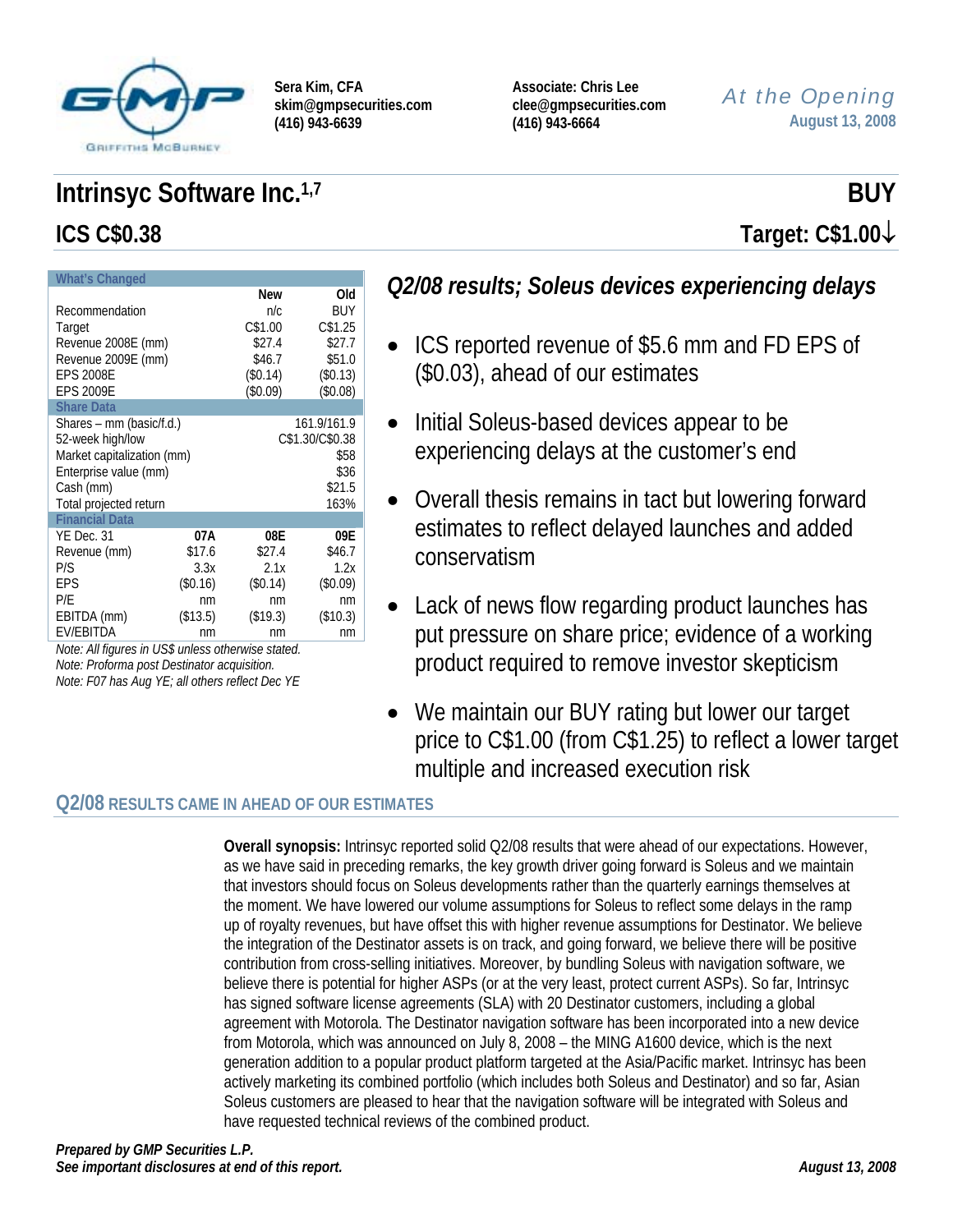

**Associate: Chris Lee clee@gmpsecurities.com (416) 943-6664** 

# *At the Opening* **August 13, 2008**

# **Intrinsyc Software Inc.**<sup>1,7</sup> BUY **ICS C\$0.38 Target: C\$1.00**↓

| <b>What's Changed</b>      |                      |            |          |  |  |  |  |  |
|----------------------------|----------------------|------------|----------|--|--|--|--|--|
|                            |                      | <b>New</b> | Old      |  |  |  |  |  |
| Recommendation             | n/c                  | BUY        |          |  |  |  |  |  |
| Target                     | C\$1.25<br>C\$1.00   |            |          |  |  |  |  |  |
| Revenue 2008E (mm)         |                      | \$27.4     | \$27.7   |  |  |  |  |  |
| Revenue 2009E (mm)         |                      | \$46.7     | \$51.0   |  |  |  |  |  |
| <b>EPS 2008E</b>           |                      | (\$0.14)   | (\$0.13) |  |  |  |  |  |
| <b>EPS 2009E</b>           |                      | (\$0.09)   | (\$0.08) |  |  |  |  |  |
| <b>Share Data</b>          |                      |            |          |  |  |  |  |  |
| Shares – mm (basic/f.d.)   | 161.9/161.9          |            |          |  |  |  |  |  |
| 52-week high/low           | C\$1.30/C\$0.38      |            |          |  |  |  |  |  |
| Market capitalization (mm) |                      | \$58       |          |  |  |  |  |  |
| Enterprise value (mm)      |                      | \$36       |          |  |  |  |  |  |
| Cash (mm)                  |                      | \$21.5     |          |  |  |  |  |  |
| Total projected return     |                      | 163%       |          |  |  |  |  |  |
| <b>Financial Data</b>      |                      |            |          |  |  |  |  |  |
| YE Dec. 31                 | 07A                  | 08E        | 09E      |  |  |  |  |  |
| Revenue (mm)               | \$17.6               | \$27.4     | \$46.7   |  |  |  |  |  |
| P/S                        | 2.1x                 | 1.2x       |          |  |  |  |  |  |
| EPS                        | (\$0.14)             | $(\$0.09)$ |          |  |  |  |  |  |
| P/E                        | nm<br>nm             |            |          |  |  |  |  |  |
| EBITDA (mm)                | (\$19.3)<br>(\$10.3) |            |          |  |  |  |  |  |
| <b>EV/EBITDA</b>           | nm                   | nm         |          |  |  |  |  |  |

*Note: All figures in US\$ unless otherwise stated. Note: Proforma post Destinator acquisition. Note: F07 has Aug YE; all others reflect Dec YE* 

# *Q2/08 results; Soleus devices experiencing delays*

- ICS reported revenue of \$5.6 mm and FD EPS of (\$0.03), ahead of our estimates
- Initial Soleus-based devices appear to be experiencing delays at the customer's end
- Overall thesis remains in tact but lowering forward estimates to reflect delayed launches and added conservatism
- Lack of news flow regarding product launches has put pressure on share price; evidence of a working product required to remove investor skepticism
- We maintain our BUY rating but lower our target price to C\$1.00 (from C\$1.25) to reflect a lower target multiple and increased execution risk

# **Q2/08 RESULTS CAME IN AHEAD OF OUR ESTIMATES**

**Overall synopsis:** Intrinsyc reported solid Q2/08 results that were ahead of our expectations. However, as we have said in preceding remarks, the key growth driver going forward is Soleus and we maintain that investors should focus on Soleus developments rather than the quarterly earnings themselves at the moment. We have lowered our volume assumptions for Soleus to reflect some delays in the ramp up of royalty revenues, but have offset this with higher revenue assumptions for Destinator. We believe the integration of the Destinator assets is on track, and going forward, we believe there will be positive contribution from cross-selling initiatives. Moreover, by bundling Soleus with navigation software, we believe there is potential for higher ASPs (or at the very least, protect current ASPs). So far, Intrinsyc has signed software license agreements (SLA) with 20 Destinator customers, including a global agreement with Motorola. The Destinator navigation software has been incorporated into a new device from Motorola, which was announced on July 8, 2008 – the MING A1600 device, which is the next generation addition to a popular product platform targeted at the Asia/Pacific market. Intrinsyc has been actively marketing its combined portfolio (which includes both Soleus and Destinator) and so far, Asian Soleus customers are pleased to hear that the navigation software will be integrated with Soleus and have requested technical reviews of the combined product.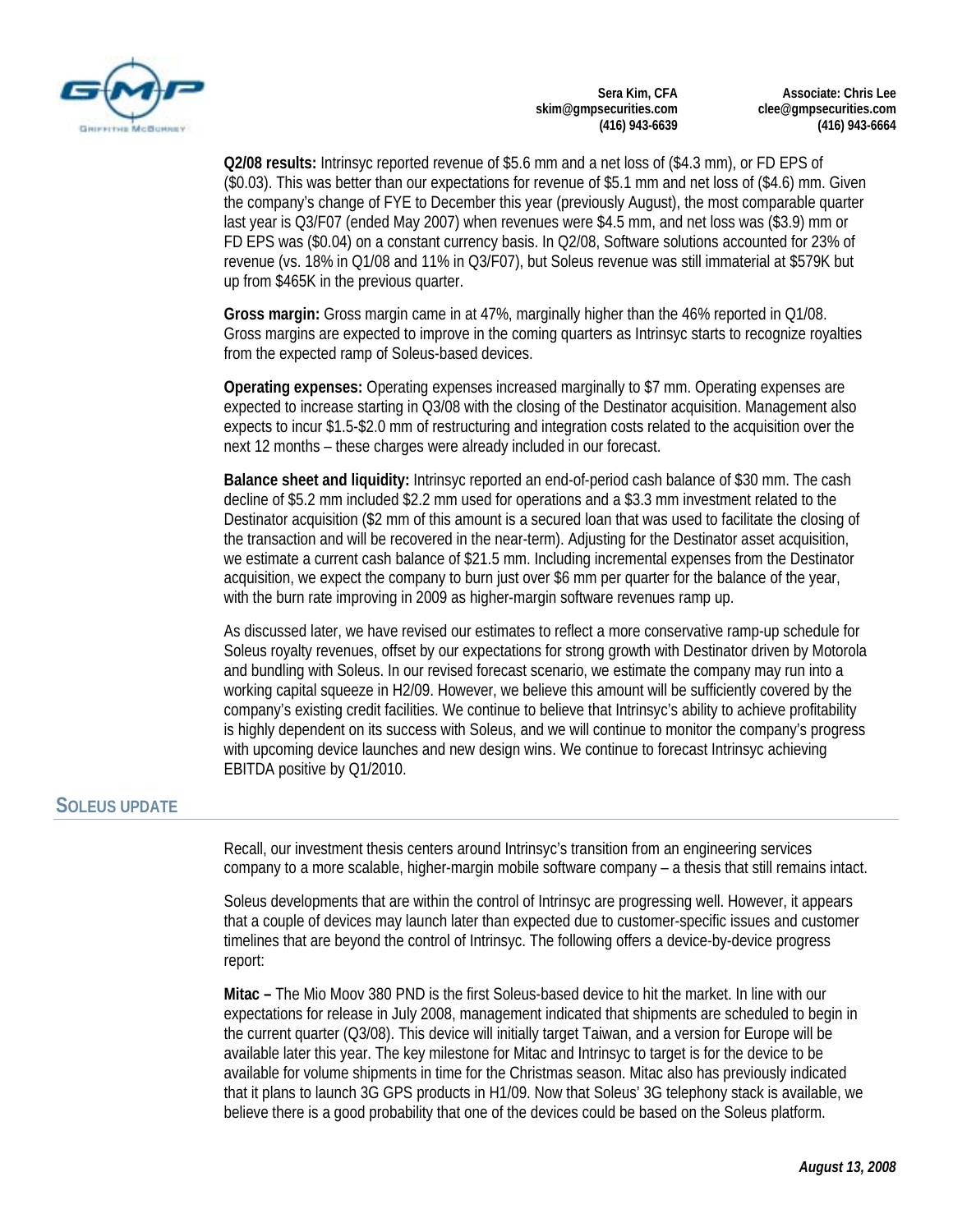

**Associate: Chris Lee clee@gmpsecurities.com (416) 943-6664** 

**Q2/08 results:** Intrinsyc reported revenue of \$5.6 mm and a net loss of (\$4.3 mm), or FD EPS of (\$0.03). This was better than our expectations for revenue of \$5.1 mm and net loss of (\$4.6) mm. Given the company's change of FYE to December this year (previously August), the most comparable quarter last year is Q3/F07 (ended May 2007) when revenues were \$4.5 mm, and net loss was (\$3.9) mm or FD EPS was (\$0.04) on a constant currency basis. In Q2/08, Software solutions accounted for 23% of revenue (vs. 18% in Q1/08 and 11% in Q3/F07), but Soleus revenue was still immaterial at \$579K but up from \$465K in the previous quarter.

**Gross margin:** Gross margin came in at 47%, marginally higher than the 46% reported in Q1/08. Gross margins are expected to improve in the coming quarters as Intrinsyc starts to recognize royalties from the expected ramp of Soleus-based devices.

**Operating expenses:** Operating expenses increased marginally to \$7 mm. Operating expenses are expected to increase starting in Q3/08 with the closing of the Destinator acquisition. Management also expects to incur \$1.5-\$2.0 mm of restructuring and integration costs related to the acquisition over the next 12 months – these charges were already included in our forecast.

**Balance sheet and liquidity:** Intrinsyc reported an end-of-period cash balance of \$30 mm. The cash decline of \$5.2 mm included \$2.2 mm used for operations and a \$3.3 mm investment related to the Destinator acquisition (\$2 mm of this amount is a secured loan that was used to facilitate the closing of the transaction and will be recovered in the near-term). Adjusting for the Destinator asset acquisition, we estimate a current cash balance of \$21.5 mm. Including incremental expenses from the Destinator acquisition, we expect the company to burn just over \$6 mm per quarter for the balance of the year, with the burn rate improving in 2009 as higher-margin software revenues ramp up.

As discussed later, we have revised our estimates to reflect a more conservative ramp-up schedule for Soleus royalty revenues, offset by our expectations for strong growth with Destinator driven by Motorola and bundling with Soleus. In our revised forecast scenario, we estimate the company may run into a working capital squeeze in H2/09. However, we believe this amount will be sufficiently covered by the company's existing credit facilities. We continue to believe that Intrinsyc's ability to achieve profitability is highly dependent on its success with Soleus, and we will continue to monitor the company's progress with upcoming device launches and new design wins. We continue to forecast Intrinsyc achieving EBITDA positive by Q1/2010.

### **SOLEUS UPDATE**

Recall, our investment thesis centers around Intrinsyc's transition from an engineering services company to a more scalable, higher-margin mobile software company – a thesis that still remains intact.

Soleus developments that are within the control of Intrinsyc are progressing well. However, it appears that a couple of devices may launch later than expected due to customer-specific issues and customer timelines that are beyond the control of Intrinsyc. The following offers a device-by-device progress report:

**Mitac –** The Mio Moov 380 PND is the first Soleus-based device to hit the market. In line with our expectations for release in July 2008, management indicated that shipments are scheduled to begin in the current quarter (Q3/08). This device will initially target Taiwan, and a version for Europe will be available later this year. The key milestone for Mitac and Intrinsyc to target is for the device to be available for volume shipments in time for the Christmas season. Mitac also has previously indicated that it plans to launch 3G GPS products in H1/09. Now that Soleus' 3G telephony stack is available, we believe there is a good probability that one of the devices could be based on the Soleus platform.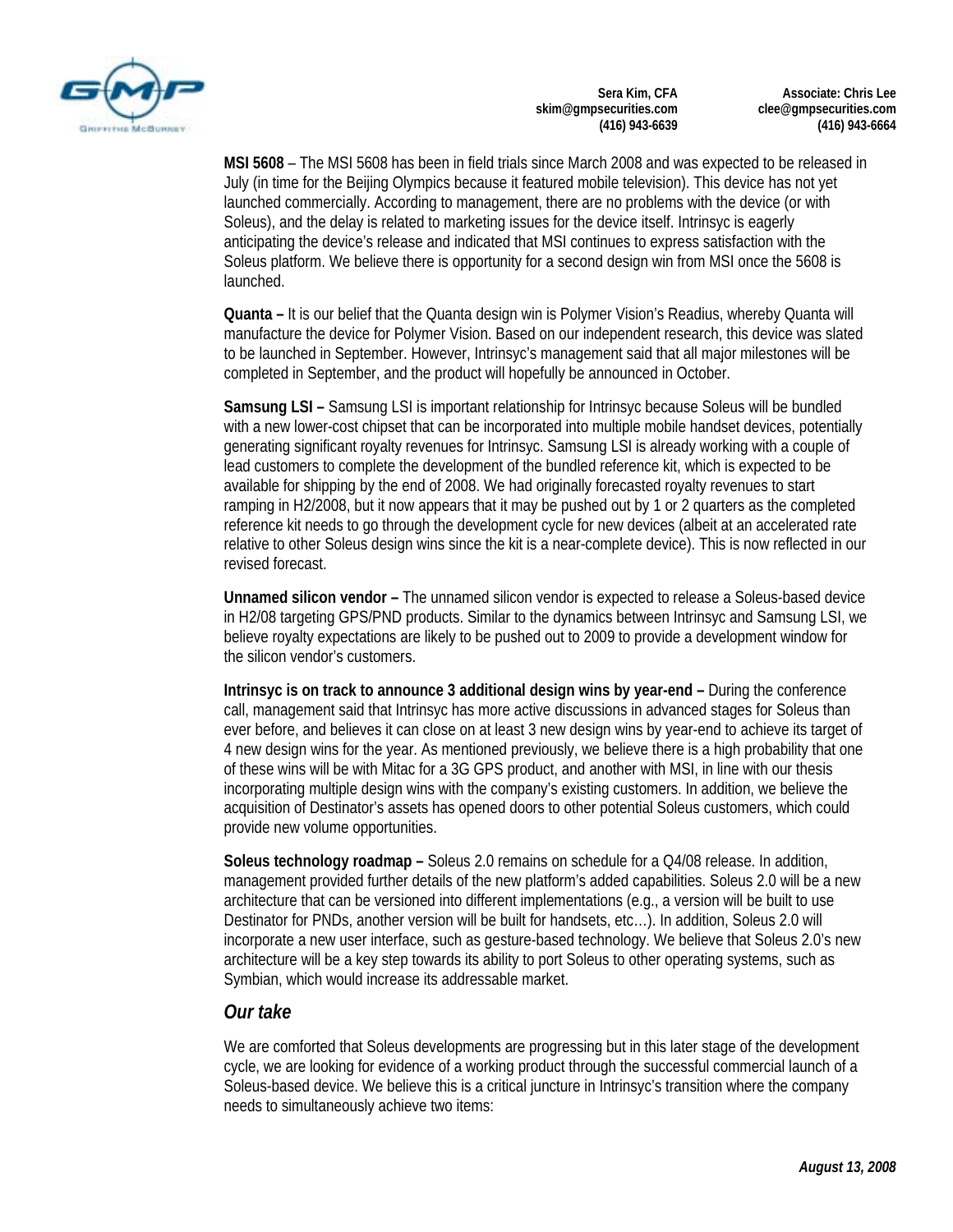

**Associate: Chris Lee clee@gmpsecurities.com (416) 943-6664** 

**MSI 5608** – The MSI 5608 has been in field trials since March 2008 and was expected to be released in July (in time for the Beijing Olympics because it featured mobile television). This device has not yet launched commercially. According to management, there are no problems with the device (or with Soleus), and the delay is related to marketing issues for the device itself. Intrinsyc is eagerly anticipating the device's release and indicated that MSI continues to express satisfaction with the Soleus platform. We believe there is opportunity for a second design win from MSI once the 5608 is launched.

**Quanta –** It is our belief that the Quanta design win is Polymer Vision's Readius, whereby Quanta will manufacture the device for Polymer Vision. Based on our independent research, this device was slated to be launched in September. However, Intrinsyc's management said that all major milestones will be completed in September, and the product will hopefully be announced in October.

**Samsung LSI –** Samsung LSI is important relationship for Intrinsyc because Soleus will be bundled with a new lower-cost chipset that can be incorporated into multiple mobile handset devices, potentially generating significant royalty revenues for Intrinsyc. Samsung LSI is already working with a couple of lead customers to complete the development of the bundled reference kit, which is expected to be available for shipping by the end of 2008. We had originally forecasted royalty revenues to start ramping in H2/2008, but it now appears that it may be pushed out by 1 or 2 quarters as the completed reference kit needs to go through the development cycle for new devices (albeit at an accelerated rate relative to other Soleus design wins since the kit is a near-complete device). This is now reflected in our revised forecast.

**Unnamed silicon vendor –** The unnamed silicon vendor is expected to release a Soleus-based device in H2/08 targeting GPS/PND products. Similar to the dynamics between Intrinsyc and Samsung LSI, we believe royalty expectations are likely to be pushed out to 2009 to provide a development window for the silicon vendor's customers.

**Intrinsyc is on track to announce 3 additional design wins by year-end –** During the conference call, management said that Intrinsyc has more active discussions in advanced stages for Soleus than ever before, and believes it can close on at least 3 new design wins by year-end to achieve its target of 4 new design wins for the year. As mentioned previously, we believe there is a high probability that one of these wins will be with Mitac for a 3G GPS product, and another with MSI, in line with our thesis incorporating multiple design wins with the company's existing customers. In addition, we believe the acquisition of Destinator's assets has opened doors to other potential Soleus customers, which could provide new volume opportunities.

**Soleus technology roadmap –** Soleus 2.0 remains on schedule for a Q4/08 release. In addition, management provided further details of the new platform's added capabilities. Soleus 2.0 will be a new architecture that can be versioned into different implementations (e.g., a version will be built to use Destinator for PNDs, another version will be built for handsets, etc…). In addition, Soleus 2.0 will incorporate a new user interface, such as gesture-based technology. We believe that Soleus 2.0's new architecture will be a key step towards its ability to port Soleus to other operating systems, such as Symbian, which would increase its addressable market.

## *Our take*

We are comforted that Soleus developments are progressing but in this later stage of the development cycle, we are looking for evidence of a working product through the successful commercial launch of a Soleus-based device. We believe this is a critical juncture in Intrinsyc's transition where the company needs to simultaneously achieve two items: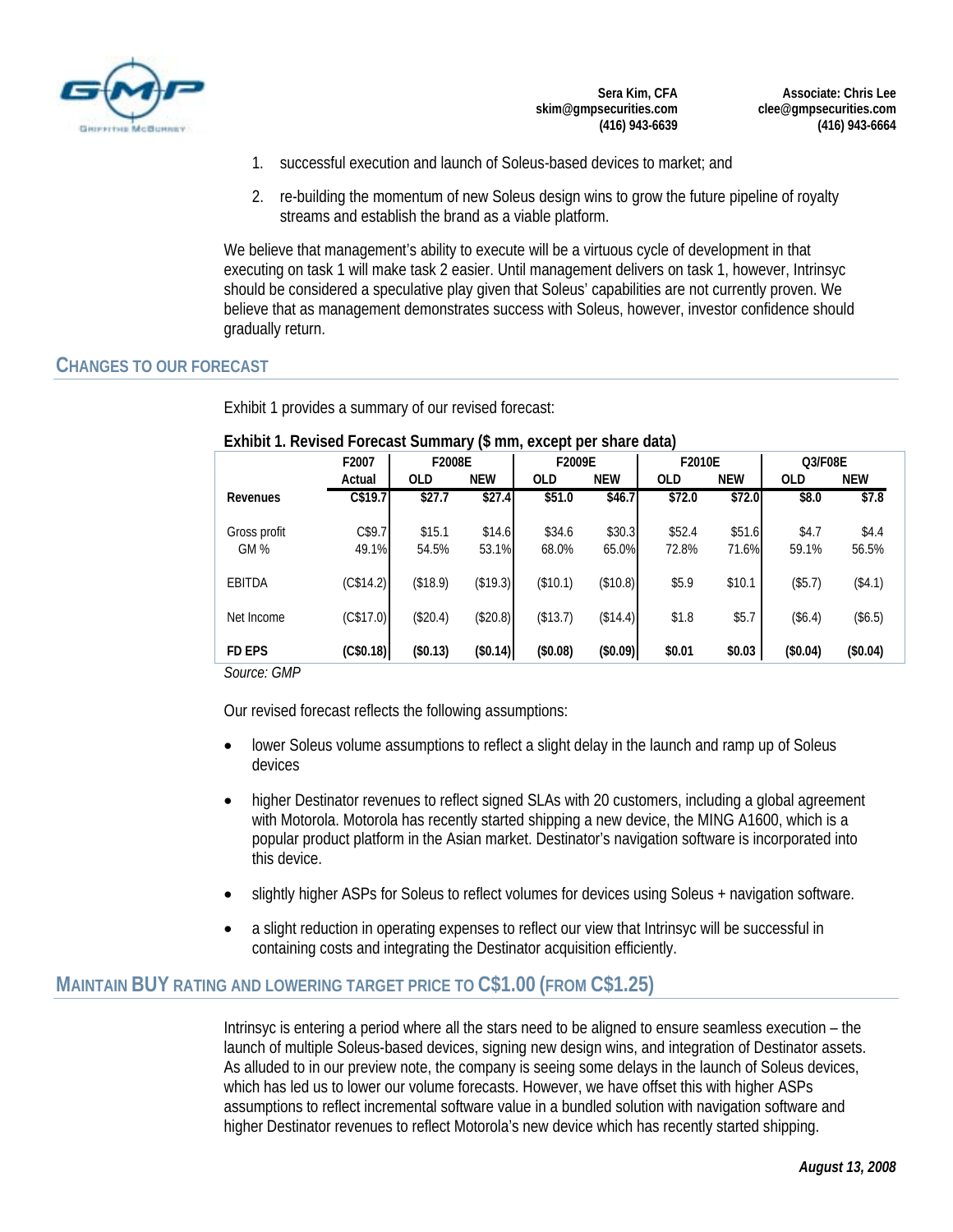

**Associate: Chris Lee clee@gmpsecurities.com (416) 943-6664** 

- 1. successful execution and launch of Soleus-based devices to market; and
- 2. re-building the momentum of new Soleus design wins to grow the future pipeline of royalty streams and establish the brand as a viable platform.

We believe that management's ability to execute will be a virtuous cycle of development in that executing on task 1 will make task 2 easier. Until management delivers on task 1, however, Intrinsyc should be considered a speculative play given that Soleus' capabilities are not currently proven. We believe that as management demonstrates success with Soleus, however, investor confidence should gradually return.

#### **CHANGES TO OUR FORECAST**

Exhibit 1 provides a summary of our revised forecast:

# **F2007 Actual OLD NEW OLD NEW OLD NEW OLD NEW Revenues C\$19.7 \$27.7 \$27.4 \$51.0 \$46.7 \$72.0 \$72.0 \$8.0 \$7.8** Gross profit C\$9.7 \$15.1 \$14.6 \$34.6 \$30.3 \$52.4 \$51.6 \$4.7 \$4.4 GM % 49.1% 54.5% 53.1% 68.0% 65.0% 72.8% 71.6% 59.1% 56.5% EBITDA (C\$14.2) (\$18.9) (\$19.3) (\$10.1) (\$10.8) \$5.9 \$10.1 (\$5.7) (\$4.1) Net Income (C\$17.0) (\$20.4) (\$20.8) (\$13.7) (\$14.4) \$1.8 \$5.7 (\$6.4) (\$6.5) **FD EPS (C\$0.18) (\$0.13) (\$0.14) (\$0.08) (\$0.09) \$0.01 \$0.03 (\$0.04) (\$0.04) F2008E F2009E Q3/F08E F2010E**

#### **Exhibit 1. Revised Forecast Summary (\$ mm, except per share data)**

*Source: GMP* 

Our revised forecast reflects the following assumptions:

- lower Soleus volume assumptions to reflect a slight delay in the launch and ramp up of Soleus devices
- higher Destinator revenues to reflect signed SLAs with 20 customers, including a global agreement with Motorola. Motorola has recently started shipping a new device, the MING A1600, which is a popular product platform in the Asian market. Destinator's navigation software is incorporated into this device.
- slightly higher ASPs for Soleus to reflect volumes for devices using Soleus + navigation software.
- a slight reduction in operating expenses to reflect our view that Intrinsyc will be successful in containing costs and integrating the Destinator acquisition efficiently.

### **MAINTAIN BUY RATING AND LOWERING TARGET PRICE TO C\$1.00 (FROM C\$1.25)**

Intrinsyc is entering a period where all the stars need to be aligned to ensure seamless execution – the launch of multiple Soleus-based devices, signing new design wins, and integration of Destinator assets. As alluded to in our preview note, the company is seeing some delays in the launch of Soleus devices, which has led us to lower our volume forecasts. However, we have offset this with higher ASPs assumptions to reflect incremental software value in a bundled solution with navigation software and higher Destinator revenues to reflect Motorola's new device which has recently started shipping.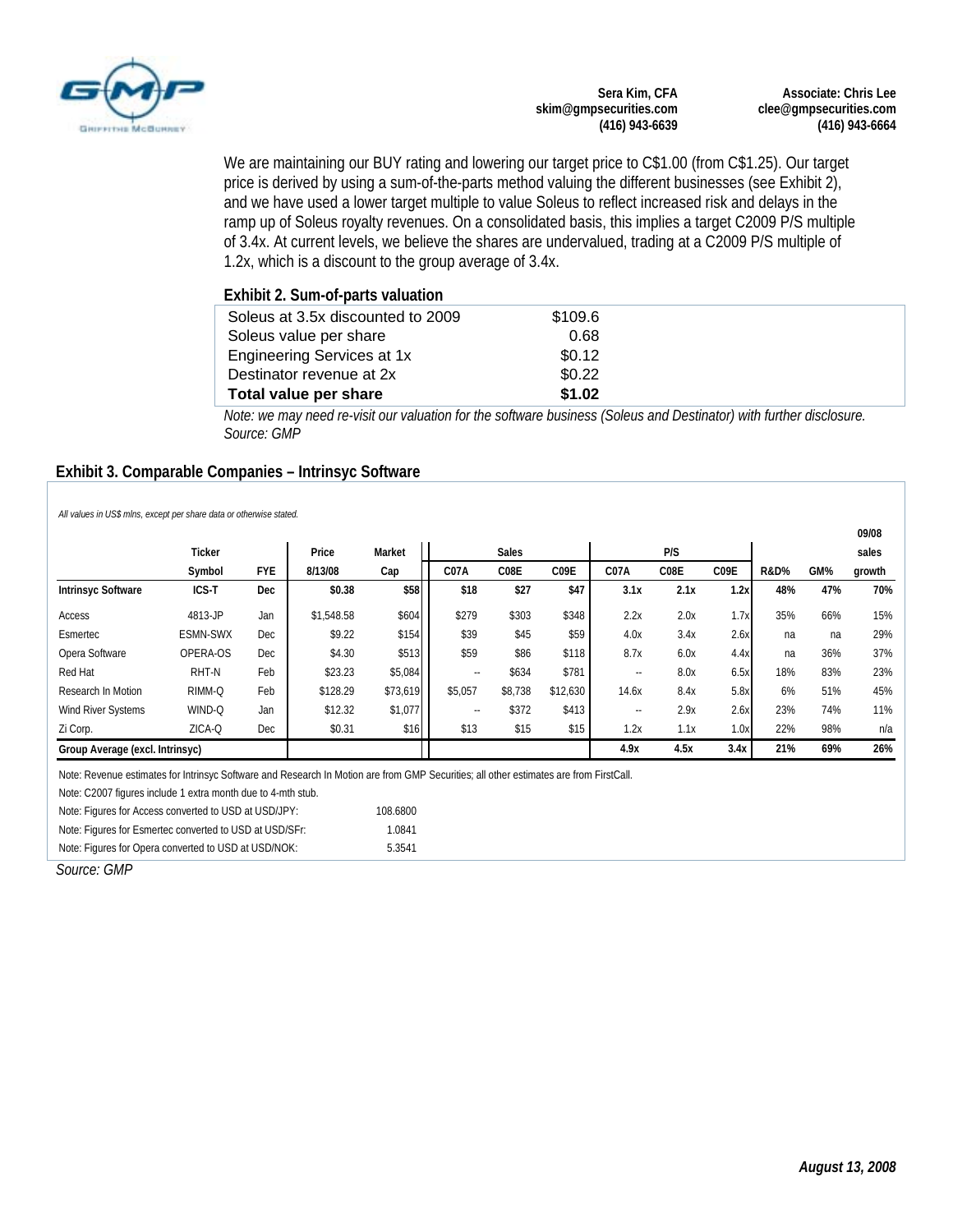

**Associate: Chris Lee clee@gmpsecurities.com (416) 943-6664** 

We are maintaining our BUY rating and lowering our target price to C\$1.00 (from C\$1.25). Our target price is derived by using a sum-of-the-parts method valuing the different businesses (see Exhibit 2), and we have used a lower target multiple to value Soleus to reflect increased risk and delays in the ramp up of Soleus royalty revenues. On a consolidated basis, this implies a target C2009 P/S multiple of 3.4x. At current levels, we believe the shares are undervalued, trading at a C2009 P/S multiple of 1.2x, which is a discount to the group average of 3.4x.

| Soleus at 3.5x discounted to 2009 | \$109.6 |  |
|-----------------------------------|---------|--|
| Soleus value per share            | 0.68    |  |
| Engineering Services at 1x        | \$0.12  |  |
| Destinator revenue at 2x          | \$0.22  |  |
| Total value per share             | \$1.02  |  |

*Note: we may need re-visit our valuation for the software business (Soleus and Destinator) with further disclosure. Source: GMP* 

#### **Exhibit 3. Comparable Companies – Intrinsyc Software**

*All values in US\$ mlns, except per share data or otherwise stated.*

|                                 |                 |            |            |          |                      |         |                   |            |      |                 |     |        | 09/08 |
|---------------------------------|-----------------|------------|------------|----------|----------------------|---------|-------------------|------------|------|-----------------|-----|--------|-------|
|                                 | <b>Ticker</b>   |            | Price      | Market   | <b>Sales</b>         |         |                   |            | P/S  |                 |     |        | sales |
|                                 | Symbol          | <b>FYE</b> | 8/13/08    | Cap      | C07A<br>C08E<br>C09E |         | C <sub>07</sub> A | C08E       | C09E | <b>R&amp;D%</b> | GM% | growth |       |
| <b>Intrinsyc Software</b>       | ICS-T           | <b>Dec</b> | \$0.38     | \$58     | \$18                 | \$27    | \$47              | 3.1x       | 2.1x | 1.2x            | 48% | 47%    | 70%   |
| Access                          | 4813-JP         | Jan        | \$1.548.58 | \$604    | \$279                | \$303   | \$348             | 2.2x       | 2.0x | 1.7x            | 35% | 66%    | 15%   |
| Esmertec                        | <b>ESMN-SWX</b> | Dec        | \$9.22     | \$154    | \$39                 | \$45    | \$59              | 4.0x       | 3.4x | 2.6x            | na  | na     | 29%   |
| Opera Software                  | OPERA-OS        | Dec        | \$4.30     | \$513    | \$59                 | \$86    | \$118             | 8.7x       | 6.0x | 4.4x            | na  | 36%    | 37%   |
| Red Hat                         | RHT-N           | Feb        | \$23.23    | \$5,084  | ۰.                   | \$634   | \$781             | $\sim$ $-$ | 8.0x | 6.5x            | 18% | 83%    | 23%   |
| Research In Motion              | RIMM-Q          | Feb        | \$128.29   | \$73,619 | \$5,057              | \$8,738 | \$12,630          | 14.6x      | 8.4x | 5.8x            | 6%  | 51%    | 45%   |
| Wind River Systems              | WIND-Q          | Jan        | \$12.32    | \$1,077  | $\sim$               | \$372   | \$413             | $\sim$     | 2.9x | 2.6x            | 23% | 74%    | 11%   |
| Zi Corp.                        | ZICA-Q          | Dec        | \$0.31     | \$16     | \$13                 | \$15    | \$15              | 1.2x       | 1.1x | 1.0x            | 22% | 98%    | n/a   |
| Group Average (excl. Intrinsyc) |                 |            |            |          |                      |         |                   | 4.9x       | 4.5x | 3.4x            | 21% | 69%    | 26%   |

Note: Revenue estimates for Intrinsyc Software and Research In Motion are from GMP Securities; all other estimates are from FirstCall.

Note: C2007 figures include 1 extra month due to 4-mth stub.

| Note: Figures for Access converted to USD at USD/JPY:   | 108.6800 |
|---------------------------------------------------------|----------|
| Note: Figures for Esmertec converted to USD at USD/SFr: | 1.0841   |
| Note: Figures for Opera converted to USD at USD/NOK:    | 5.3541   |

*Source: GMP*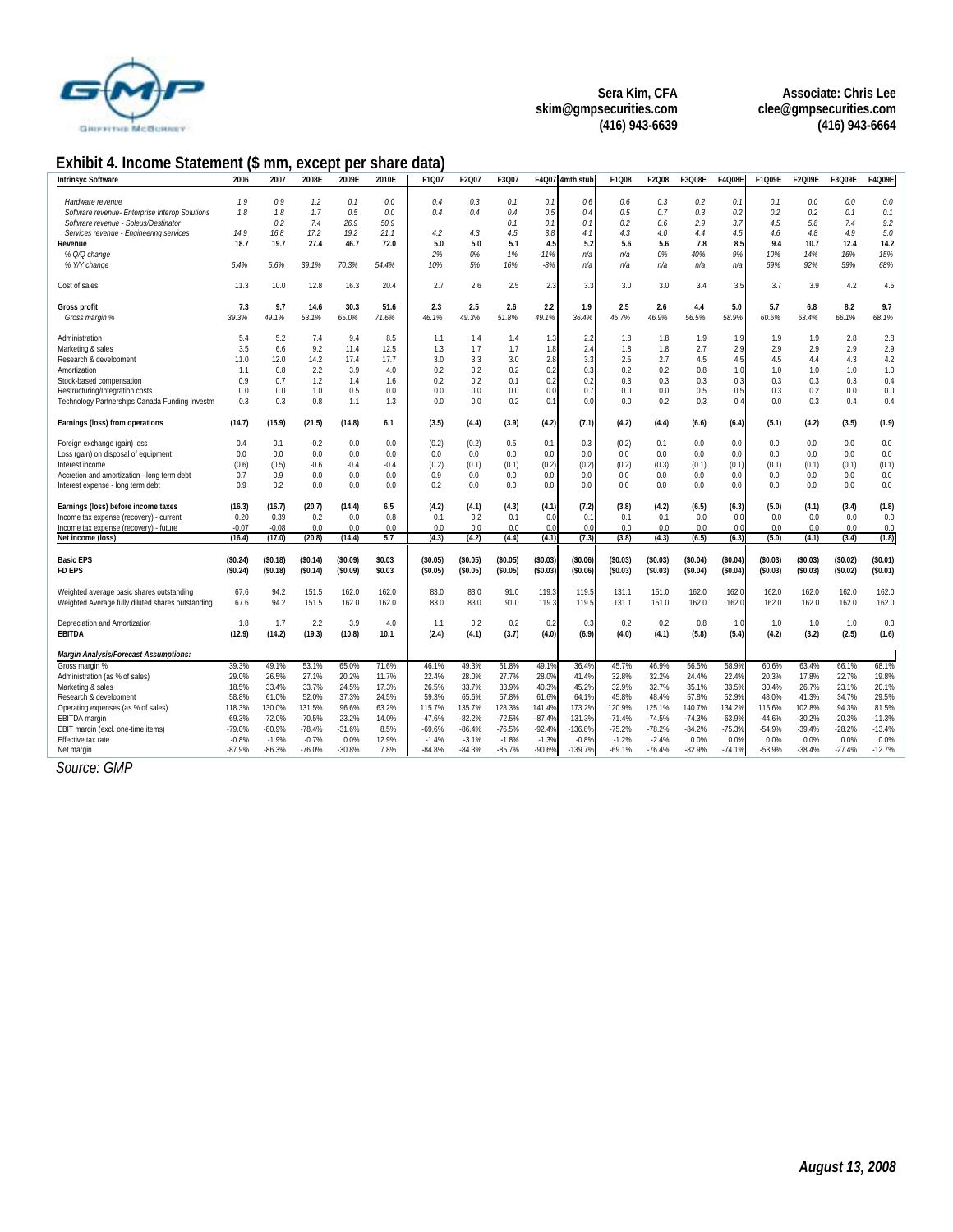

**Associate: Chris Lee clee@gmpsecurities.com (416) 943-6664** 

## **Exhibit 4. Income Statement (\$ mm, except per share data)**

| <b>Intrinsyc Software</b>                         | 2006     | 2007     | 2008E    | 2009E    | 2010E  | F1Q07    | F2Q07    | F3Q07    |          | F4Q07 4mth stub | F1Q08    | F2Q08    | F3Q08E   | F4Q08E   | F1Q09E   | F2Q09E   | F3Q09E   | F4Q09E   |
|---------------------------------------------------|----------|----------|----------|----------|--------|----------|----------|----------|----------|-----------------|----------|----------|----------|----------|----------|----------|----------|----------|
|                                                   |          |          |          |          |        |          |          |          |          |                 |          |          |          |          |          |          |          |          |
| Hardware revenue                                  | 1.9      | 0.9      | $1.2\,$  | 0.1      | 0.0    | 0.4      | 0.3      | 0.1      | 0.1      | 0.6             | 0.6      | 0.3      | 0.2      | 0.1      | 0.1      | 0.0      | 0.0      | 0.0      |
| Software revenue- Enterprise Interop Solutions    | 7.8      | 7.8      | 1.7      | 0.5      | 0.0    | 0.4      | 0.4      | 0.4      | 0.5      | 0.4             | 0.5      | 0.7      | 0.3      | 0.2      | 0.2      | 0.2      | 0.1      | 0.1      |
| Software revenue - Soleus/Destinator              |          | 0.2      | 7.4      | 26.9     | 50.9   |          |          | 0.1      | 0.1      | 0.1             | 0.2      | 0.6      | 2.9      | 3.7      | 4.5      | 5.8      | 7.4      | 9.2      |
| Services revenue - Engineering services           | 14.9     | 16.8     | 17.2     | 19.2     | 21.1   | 4.2      | 4.3      | 4.5      | 3.8      | 4.1             | 4.3      | 4.0      | 4.4      | 4.5      | 4.6      | 4.8      | 4.9      | 5.0      |
| Revenue                                           | 18.7     | 19.7     | 27.4     | 46.7     | 72.0   | 5.0      | 5.0      | 5.1      | 4.5      | 5.2             | 5.6      | 5.6      | 7.8      | 8.5      | 9.4      | 10.7     | 12.4     | 14.2     |
| % Q/Q change                                      |          |          |          |          |        | 2%       | 0%       | 1%       | $-11%$   | n/a             | n/a      | 0%       | 40%      | 9%       | 10%      | 14%      | 16%      | 15%      |
| % Y/Y change                                      | 6.4%     | 5.6%     | 39.1%    | 70.3%    | 54.4%  | 10%      | 5%       | 16%      | $-8%$    | n/a             | n/a      | n/a      | n/a      | n/a      | 69%      | 92%      | 59%      | 68%      |
| Cost of sales                                     | 11.3     | 10.0     | 12.8     | 16.3     | 20.4   | 2.7      | 2.6      | 2.5      | 2.3      | 3.3             | 3.0      | 3.0      | 3.4      | 3.5      | 3.7      | 3.9      | 4.2      | 4.5      |
| <b>Gross profit</b>                               | 7.3      | 9.7      | 14.6     | 30.3     | 51.6   | 2.3      | 2.5      | 2.6      | 2.2      | 1.9             | 2.5      | 2.6      | 4.4      | 5.0      | 5.7      | 6.8      | 8.2      | 9.7      |
| Gross margin %                                    | 39.3%    | 49.1%    | 53.1%    | 65.0%    | 71.6%  | 46.1%    | 49.3%    | 51.8%    | 49.1%    | 36.4%           | 45.7%    | 46.9%    | 56.5%    | 58.9%    | 60.6%    | 63.4%    | 66.1%    | 68.1%    |
| Administration                                    | 5.4      | 5.2      | 7.4      | 9.4      | 8.5    | 1.1      | 1.4      | 1.4      | 1.3      | 2.2             | 1.8      | 1.8      | 1.9      | 1.9      | 1.9      | 1.9      | 2.8      | 2.8      |
| Marketing & sales                                 | 3.5      | 6.6      | 9.2      | 11.4     | 12.5   | 1.3      | 1.7      | 1.7      | 1.8      | 2.4             | 1.8      | 1.8      | 2.7      | 2.9      | 2.9      | 2.9      | 2.9      | 2.9      |
| Research & development                            | 11.0     | 12.0     | 14.2     | 17.4     | 17.7   | 3.0      | 3.3      | 3.0      | 2.8      | 3.3             | 2.5      | 2.7      | 4.5      | 4.5      | 4.5      | 4.4      | 4.3      | 4.2      |
| Amortization                                      | 1.1      | 0.8      | 2.2      | 3.9      | 4.0    | 0.2      | 0.2      | 0.2      | 0.2      | 0.3             | 0.2      | 0.2      | 0.8      | 1.0      | 1.0      | 1.0      | 1.0      | 1.0      |
| Stock-based compensation                          | 0.9      | 0.7      | 1.2      | 1.4      | 1.6    | 0.2      | 0.2      | 0.1      | 0.2      | 0.2             | 0.3      | 0.3      | 0.3      | 0.3      | 0.3      | 0.3      | 0.3      | 0.4      |
| Restructuring/Integration costs                   | 0.0      | 0.0      | 1.0      | 0.5      | 0.0    | 0.0      | 0.0      | 0.0      | 0.0      | 0.7             | 0.0      | 0.0      | 0.5      | 0.5      | 0.3      | 0.2      | 0.0      | 0.0      |
| Technology Partnerships Canada Funding Investm    | 0.3      | 0.3      | 0.8      | 1.1      | 1.3    | 0.0      | 0.0      | 0.2      | 0.1      | 0.0             | 0.0      | 0.2      | 0.3      | 0.4      | 0.0      | 0.3      | 0.4      | 0.4      |
| Earnings (loss) from operations                   | (14.7)   | (15.9)   | (21.5)   | (14.8)   | 6.1    | (3.5)    | (4.4)    | (3.9)    | (4.2)    | (7.1)           | (4.2)    | (4.4)    | (6.6)    | (6.4)    | (5.1)    | (4.2)    | (3.5)    | (1.9)    |
| Foreign exchange (gain) loss                      | 0.4      | 0.1      | $-0.2$   | 0.0      | 0.0    | (0.2)    | (0.2)    | 0.5      | 0.1      | 0.3             | (0.2)    | 0.1      | 0.0      | 0.0      | 0.0      | 0.0      | 0.0      | 0.0      |
| Loss (gain) on disposal of equipment              | 0.0      | 0.0      | 0.0      | 0.0      | 0.0    | 0.0      | 0.0      | 0.0      | 0.0      | 0.0             | 0.0      | 0.0      | 0.0      | 0.0      | 0.0      | 0.0      | 0.0      | 0.0      |
| Interest income                                   | (0.6)    | (0.5)    | $-0.6$   | $-0.4$   | $-0.4$ | (0.2)    | (0.1)    | (0.1)    | (0.2)    | (0.2)           | (0.2)    | (0.3)    | (0.1)    | (0.1)    | (0.1)    | (0.1)    | (0.1)    | (0.1)    |
| Accretion and amortization - long term debt       | 0.7      | 0.9      | 0.0      | 0.0      | 0.0    | 0.9      | 0.0      | 0.0      | 0.0      | 0.0             | 0.0      | 0.0      | 0.0      | 0.0      | 0.0      | 0.0      | 0.0      | 0.0      |
| Interest expense - long term debt                 | 0.9      | 0.2      | 0.0      | 0.0      | 0.0    | 0.2      | 0.0      | 0.0      | 0.0      | 0.0             | 0.0      | 0.0      | 0.0      | 0.0      | 0.0      | 0.0      | 0.0      | 0.0      |
|                                                   |          |          |          |          |        |          |          |          |          |                 |          |          |          |          |          |          |          |          |
| Earnings (loss) before income taxes               | (16.3)   | (16.7)   | (20.7)   | (14.4)   | 6.5    | (4.2)    | (4.1)    | (4.3)    | (4.1)    | (7.2)           | (3.8)    | (4.2)    | (6.5)    | (6.3)    | (5.0)    | (4.1)    | (3.4)    | (1.8)    |
| Income tax expense (recovery) - current           | 0.20     | 0.39     | 0.2      | 0.0      | 0.8    | 0.1      | 0.2      | 0.1      | 0.0      | 0.1             | 0.1      | 0.1      | 0.0      | 0.0      | 0.0      | 0.0      | 0.0      | 0.0      |
| Income tax expense (recovery) - future            | $-0.07$  | $-0.08$  | 0.0      | 0.0      | 0.0    | 0.0      | 0.0      | 0.0      | 0.0      | 0.0             | 0.0      | 0.0      | 0.0      | 0.0      | 0.0      | 0.0      | 0.0      | 0.0      |
| Net income (loss)                                 | (16.4)   | (17.0)   | (20.8)   | (14.4)   | 5.7    | (4.3)    | (4.2)    | (4.4)    | (4.1)    | (7.3)           | (3.8)    | (4.3)    | (6.5)    | (6.3)    | (5.0)    | (4.1)    | (3.4)    | (1.8)    |
| <b>Basic EPS</b>                                  | (\$0.24) | (\$0.18) | (S0.14)  | (S0.09)  | \$0.03 | (\$0.05) | (S0.05)  | (\$0.05) | \$0.03]  | (\$0.06)        | (\$0.03) | (S0.03)  | (\$0.04) | (\$0.04) | (S0.03)  | (\$0.03) | (\$0.02) | (S0.01)  |
| <b>FD EPS</b>                                     | (\$0.24) | (\$0.18) | (S0.14)  | (\$0.09) | \$0.03 | (\$0.05) | (\$0.05) | (\$0.05) | (\$0.03) | (\$0.06)        | (\$0.03) | (\$0.03) | (\$0.04) | (\$0.04) | (S0.03)  | (\$0.03) | (\$0.02) | (S0.01)  |
|                                                   |          |          |          |          |        |          |          |          |          |                 |          |          |          |          |          |          |          |          |
| Weighted average basic shares outstanding         | 67.6     | 94.2     | 151.5    | 162.0    | 162.0  | 83.0     | 83.0     | 91.0     | 119.3    | 119.5           | 131.1    | 151.0    | 162.0    | 162.0    | 162.0    | 162.0    | 162.0    | 162.0    |
| Weighted Average fully diluted shares outstanding | 67.6     | 94.2     | 151.5    | 162.0    | 162.0  | 83.0     | 83.0     | 91.0     | 119.3    | 119.5           | 131.1    | 151.0    | 162.0    | 162.0    | 162.0    | 162.0    | 162.0    | 162.0    |
| Depreciation and Amortization                     | 1.8      | 1.7      | 2.2      | 3.9      | 4.0    | 1.1      | 0.2      | 0.2      | 0.2      | 0.3             | 0.2      | 0.2      | 0.8      | 1.0      | 1.0      | 1.0      | 1.0      | 0.3      |
| <b>EBITDA</b>                                     | (12.9)   | (14.2)   | (19.3)   | (10.8)   | 10.1   | (2.4)    | (4.1)    | (3.7)    | (4.0)    | (6.9)           | (4.0)    | (4.1)    | (5.8)    | (5.4)    | (4.2)    | (3.2)    | (2.5)    | (1.6)    |
| <b>Margin Analysis/Forecast Assumptions:</b>      |          |          |          |          |        |          |          |          |          |                 |          |          |          |          |          |          |          |          |
| Gross margin %                                    | 39.3%    | 49.1%    | 53.1%    | 65.0%    | 71.6%  | 46.1%    | 49.3%    | 51.8%    | 49.1%    | 36.4%           | 45.7%    | 46.9%    | 56.5%    | 58.99    | 60.6%    | 63.4%    | 66.1%    | 68.1%    |
| Administration (as % of sales)                    | 29.0%    | 26.5%    | 27.1%    | 20.2%    | 11.7%  | 22.4%    | 28.0%    | 27.7%    | 28.0%    | 41.4%           | 32.8%    | 32.2%    | 24.4%    | 22.4%    | 20.3%    | 17.8%    | 22.7%    | 19.8%    |
| Marketing & sales                                 | 18.5%    | 33.4%    | 33.7%    | 24.5%    | 17.3%  | 26.5%    | 33.7%    | 33.9%    | 40.3%    | 45.2%           | 32.9%    | 32.7%    | 35.1%    | 33.59    | 30.4%    | 26.7%    | 23.1%    | 20.1%    |
| Research & development                            | 58.8%    | 61.0%    | 52.0%    | 37.3%    | 24.5%  | 59.3%    | 65.6%    | 57.8%    | 61.6%    | 64.1%           | 45.8%    | 48.4%    | 57.8%    | 52.9%    | 48.0%    | 41.3%    | 34.7%    | 29.5%    |
| Operating expenses (as % of sales)                | 118.3%   | 130.0%   | 131.5%   | 96.6%    | 63.2%  | 115.7%   | 135.7%   | 128.3%   | 141.4%   | 173.2%          | 120.9%   | 125.1%   | 140.7%   | 134.2%   | 115.6%   | 102.8%   | 94.3%    | 81.5%    |
| EBITDA margin                                     | $-69.3%$ | $-72.0%$ | $-70.5%$ | $-23.2%$ | 14.0%  | $-47.6%$ | $-82.2%$ | $-72.5%$ | $-87.4%$ | $-131.3%$       | $-71.4%$ | $-74.5%$ | $-74.3%$ | $-63.9%$ | $-44.6%$ | $-30.2%$ | $-20.3%$ | $-11.3%$ |
| EBIT margin (excl. one-time items)                | $-79.0%$ | $-80.9%$ | $-78.4%$ | $-31.6%$ | 8.5%   | $-69.6%$ | $-86.4%$ | $-76.5%$ | $-92.4%$ | $-136.8%$       | $-75.2%$ | $-78.2%$ | $-84.2%$ | $-75.3%$ | $-54.9%$ | $-39.4%$ | $-28.2%$ | $-13.4%$ |
| Effective tax rate                                | $-0.8%$  | $-1.9%$  | $-0.7%$  | 0.0%     | 12.9%  | $-1.4%$  | $-3.1%$  | $-1.8%$  | $-1.3%$  | $-0.8%$         | $-1.2%$  | $-2.4%$  | 0.0%     | 0.0%     | 0.0%     | 0.0%     | 0.0%     | 0.0%     |
| Net margin                                        | $-87.9%$ | $-86.3%$ | $-76.0%$ | $-30.8%$ | 7.8%   | $-84.8%$ | $-84.3%$ | $-85.7%$ | $-90.6%$ | $-139.7%$       | $-69.1%$ | $-76.4%$ | $-82.9%$ | $-74.1%$ | -53.9%   | $-38.4%$ | $-27.4%$ | $-12.7%$ |
|                                                   |          |          |          |          |        |          |          |          |          |                 |          |          |          |          |          |          |          |          |

*Source: GMP*